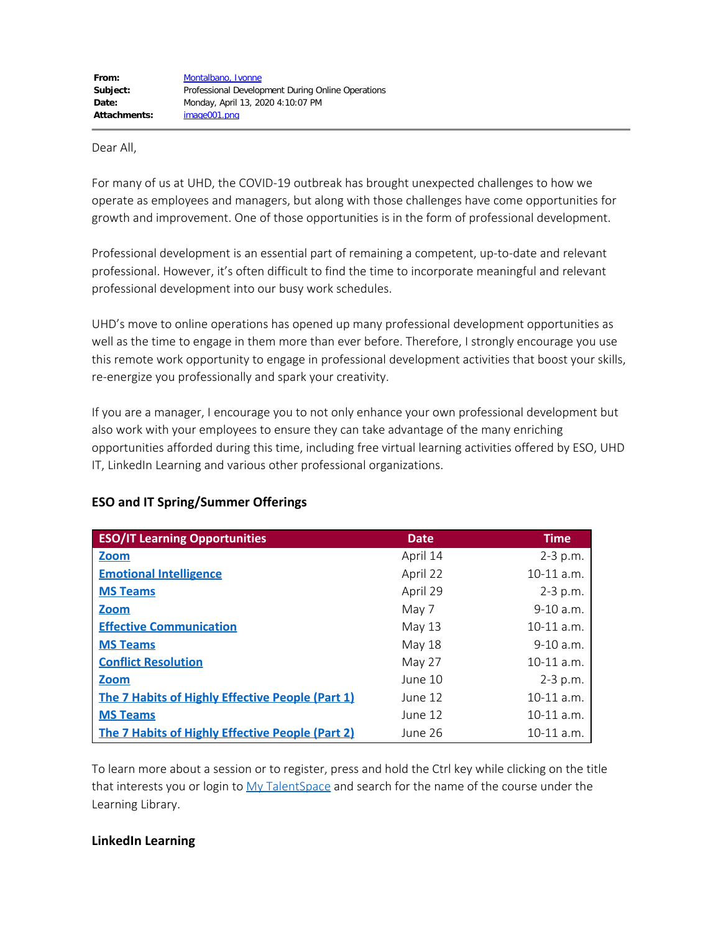#### Dear All,

For many of us at UHD, the COVID-19 outbreak has brought unexpected challenges to how we operate as employees and managers, but along with those challenges have come opportunities for growth and improvement. One of those opportunities is in the form of professional development.

Professional development is an essential part of remaining a competent, up-to-date and relevant professional. However, it's often difficult to find the time to incorporate meaningful and relevant professional development into our busy work schedules.

UHD's move to online operations has opened up many professional development opportunities as well as the time to engage in them more than ever before. Therefore, I strongly encourage you use this remote work opportunity to engage in professional development activities that boost your skills, re-energize you professionally and spark your creativity.

If you are a manager, I encourage you to not only enhance your own professional development but also work with your employees to ensure they can take advantage of the many enriching opportunities afforded during this time, including free virtual learning activities offered by ESO, UHD IT, LinkedIn Learning and various other professional organizations.

| <b>ESO/IT Learning Opportunities</b>                    | <b>Date</b>   | <b>Time</b>  |
|---------------------------------------------------------|---------------|--------------|
| <b>Zoom</b>                                             | April 14      | $2 - 3$ p.m. |
| <b>Emotional Intelligence</b>                           | April 22      | $10-11$ a.m. |
| <b>MS Teams</b>                                         | April 29      | $2 - 3$ p.m. |
| <b>Zoom</b>                                             | May 7         | $9-10$ a.m.  |
| <b>Effective Communication</b>                          | May $13$      | $10-11$ a.m. |
| <b>MS Teams</b>                                         | <b>May 18</b> | $9-10$ a.m.  |
| <b>Conflict Resolution</b>                              | May 27        | $10-11$ a.m. |
| <b>Zoom</b>                                             | June 10       | $2 - 3 p.m.$ |
| <b>The 7 Habits of Highly Effective People (Part 1)</b> | June 12       | $10-11$ a.m. |
| <b>MS Teams</b>                                         | June 12       | $10-11$ a.m. |
| <b>The 7 Habits of Highly Effective People (Part 2)</b> | June 26       | $10-11$ a.m. |

# **ESO and IT Spring/Summer Offerings**

To learn more about a session or to register, press and hold the Ctrl key while clicking on the title that interests you or login to [My TalentSpace](https://global.hgncloud.com/uhd/welcome.jsp) and search for the name of the course under the Learning Library.

### **LinkedIn Learning**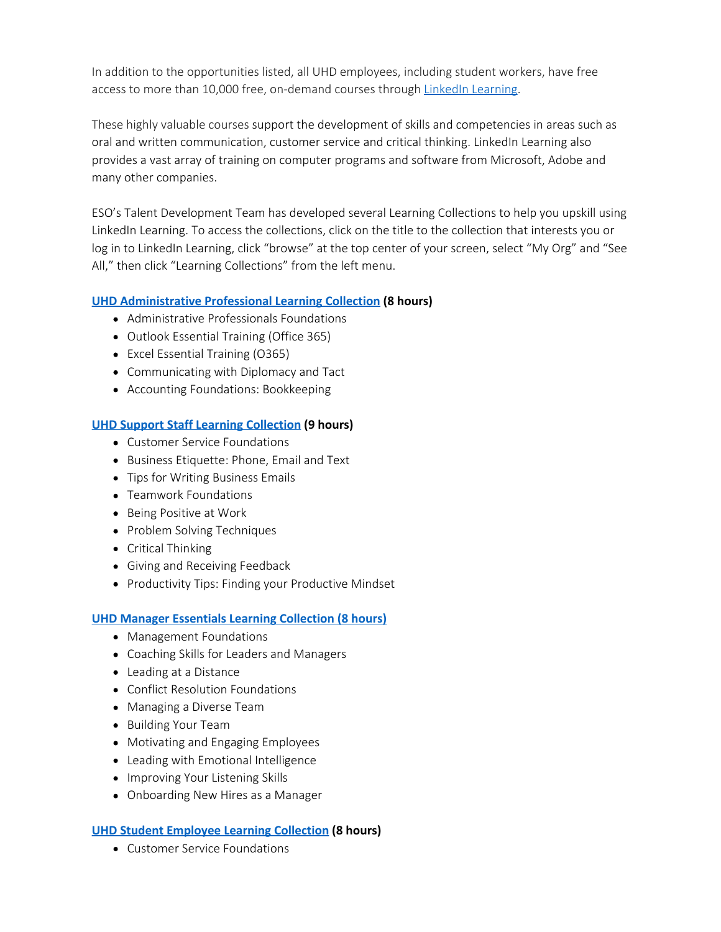In addition to the opportunities listed, all UHD employees, including student workers, have free access to more than 10,000 free, on-demand courses through [LinkedIn Learning](http://www.uhd.edu/learning).

These highly valuable courses support the development of skills and competencies in areas such as oral and written communication, customer service and critical thinking. LinkedIn Learning also provides a vast array of training on computer programs and software from Microsoft, Adobe and many other companies.

ESO's Talent Development Team has developed several Learning Collections to help you upskill using LinkedIn Learning. To access the collections, click on the title to the collection that interests you or log in to LinkedIn Learning, click "browse" at the top center of your screen, select "My Org" and "See All," then click "Learning Collections" from the left menu.

## **[UHD Administrative Professional Learning Collection](https://www.linkedin.com/learning/collections/enterprise/1~AAAAAARzIIo=901118?u=74653834&auth=true) (8 hours)**

- Administrative Professionals Foundations
- Outlook Essential Training (Office 365)
- Excel Essential Training (O365)
- Communicating with Diplomacy and Tact
- Accounting Foundations: Bookkeeping

### **[UHD Support Staff Learning Collection](https://www.linkedin.com/learning/collections/enterprise/1~AAAAAARzIIo=900213?u=74653834&auth=true) (9 hours)**

- Customer Service Foundations
- Business Etiquette: Phone, Email and Text
- Tips for Writing Business Emails
- Teamwork Foundations
- Being Positive at Work
- Problem Solving Techniques
- Critical Thinking
- Giving and Receiving Feedback
- Productivity Tips: Finding your Productive Mindset

### **[UHD Manager Essentials Learning Collection \(8 hours\)](https://www.linkedin.com/learning/collections/enterprise/1~AAAAAARzIIo=900187?u=74653834&auth=true)**

- Management Foundations
- Coaching Skills for Leaders and Managers
- Leading at a Distance
- Conflict Resolution Foundations
- Managing a Diverse Team
- Building Your Team
- Motivating and Engaging Employees
- Leading with Emotional Intelligence
- Improving Your Listening Skills
- Onboarding New Hires as a Manager

### **[UHD Student Employee Learning Collection](https://www.linkedin.com/learning/collections/enterprise/1~AAAAAARzIIo=900212?u=74653834&auth=true) (8 hours)**

Customer Service Foundations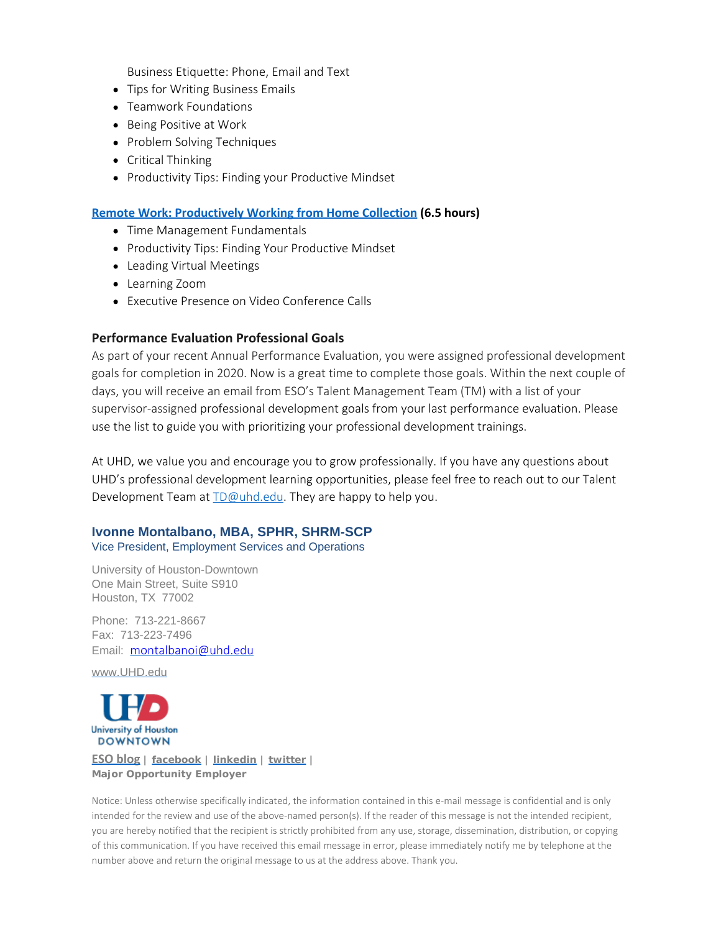Business Etiquette: Phone, Email and Text

- Tips for Writing Business Emails
- Teamwork Foundations
- Being Positive at Work
- Problem Solving Techniques
- Critical Thinking
- Productivity Tips: Finding your Productive Mindset

#### **[Remote Work: Productively Working from Home Collection](https://www.linkedin.com/learning/collections/enterprise/1~AAAAAARzIIo=315041?u=74653834&auth=true) (6.5 hours)**

- Time Management Fundamentals
- Productivity Tips: Finding Your Productive Mindset
- Leading Virtual Meetings
- Learning Zoom
- Executive Presence on Video Conference Calls

#### **Performance Evaluation Professional Goals**

As part of your recent Annual Performance Evaluation, you were assigned professional development goals for completion in 2020. Now is a great time to complete those goals. Within the next couple of days, you will receive an email from ESO's Talent Management Team (TM) with a list of your supervisor-assigned professional development goals from your last performance evaluation. Please use the list to guide you with prioritizing your professional development trainings.

At UHD, we value you and encourage you to grow professionally. If you have any questions about UHD's professional development learning opportunities, please feel free to reach out to our Talent Development Team at **[TD@uhd.edu](mailto:TD@uhd.edu)**. They are happy to help you.

# **Ivonne Montalbano, MBA, SPHR, SHRM-SCP**

Vice President, Employment Services and Operations

University of Houston-Downtown One Main Street, Suite S910 Houston, TX 77002

Phone: 713-221-8667 Fax: 713-223-7496 Email: [montalbanoi@uhd.edu](mailto:montalbanoi@uhd.edu)

[www.UHD.edu](http://www.uhd.edu/)



#### **[ESO blog](http://esohub.wordpress.com/) | [facebook](https://www.facebook.com/UHDESO) | [linkedin](https://www.linkedin.com/company/university-of-houston-downtown-employment-services-and-operations?trk=nmp_rec_act_company_photo) | [twitter](https://twitter.com/uhdeso) | Major Opportunity Employer**

Notice: Unless otherwise specifically indicated, the information contained in this e-mail message is confidential and is only intended for the review and use of the above-named person(s). If the reader of this message is not the intended recipient, you are hereby notified that the recipient is strictly prohibited from any use, storage, dissemination, distribution, or copying of this communication. If you have received this email message in error, please immediately notify me by telephone at the number above and return the original message to us at the address above. Thank you.